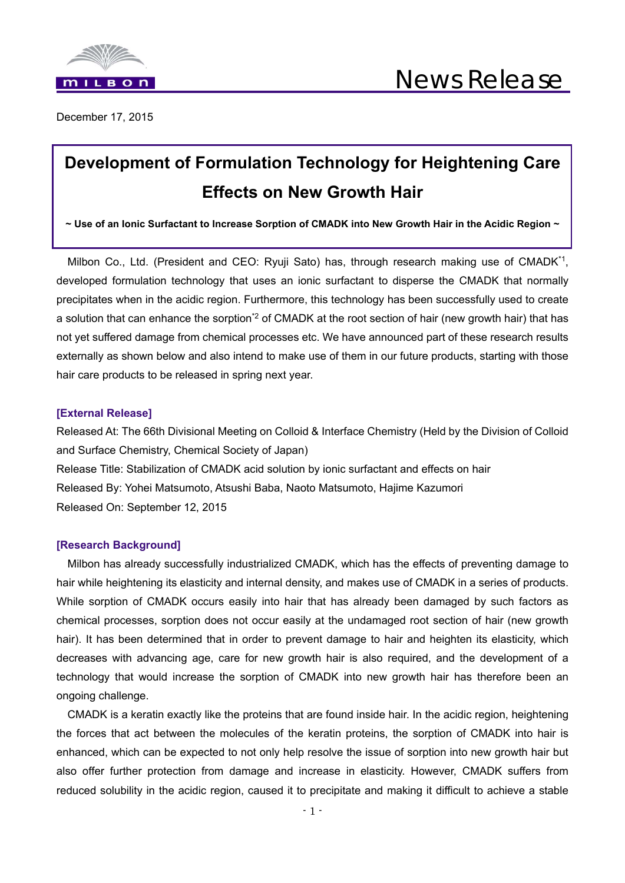

December 17, 2015

# **Development of Formulation Technology for Heightening Care Effects on New Growth Hair**

**~ Use of an Ionic Surfactant to Increase Sorption of CMADK into New Growth Hair in the Acidic Region ~**

Milbon Co., Ltd. (President and CEO: Ryuji Sato) has, through research making use of CMADK<sup>\*1</sup>, developed formulation technology that uses an ionic surfactant to disperse the CMADK that normally precipitates when in the acidic region. Furthermore, this technology has been successfully used to create a solution that can enhance the sorption<sup>\*2</sup> of CMADK at the root section of hair (new growth hair) that has not yet suffered damage from chemical processes etc. We have announced part of these research results externally as shown below and also intend to make use of them in our future products, starting with those hair care products to be released in spring next year.

### **[External Release]**

Released At: The 66th Divisional Meeting on Colloid & Interface Chemistry (Held by the Division of Colloid and Surface Chemistry, Chemical Society of Japan) Release Title: Stabilization of CMADK acid solution by ionic surfactant and effects on hair Released By: Yohei Matsumoto, Atsushi Baba, Naoto Matsumoto, Hajime Kazumori Released On: September 12, 2015

### **[Research Background]**

Milbon has already successfully industrialized CMADK, which has the effects of preventing damage to hair while heightening its elasticity and internal density, and makes use of CMADK in a series of products. While sorption of CMADK occurs easily into hair that has already been damaged by such factors as chemical processes, sorption does not occur easily at the undamaged root section of hair (new growth hair). It has been determined that in order to prevent damage to hair and heighten its elasticity, which decreases with advancing age, care for new growth hair is also required, and the development of a technology that would increase the sorption of CMADK into new growth hair has therefore been an ongoing challenge.

CMADK is a keratin exactly like the proteins that are found inside hair. In the acidic region, heightening the forces that act between the molecules of the keratin proteins, the sorption of CMADK into hair is enhanced, which can be expected to not only help resolve the issue of sorption into new growth hair but also offer further protection from damage and increase in elasticity. However, CMADK suffers from reduced solubility in the acidic region, caused it to precipitate and making it difficult to achieve a stable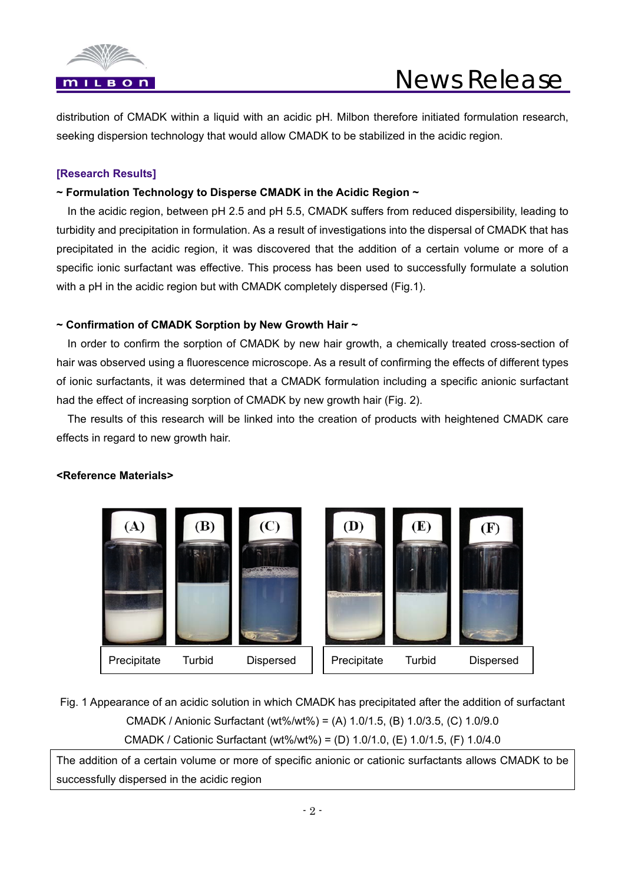

distribution of CMADK within a liquid with an acidic pH. Milbon therefore initiated formulation research, seeking dispersion technology that would allow CMADK to be stabilized in the acidic region.

# **[Research Results]**

# **~ Formulation Technology to Disperse CMADK in the Acidic Region ~**

In the acidic region, between pH 2.5 and pH 5.5, CMADK suffers from reduced dispersibility, leading to turbidity and precipitation in formulation. As a result of investigations into the dispersal of CMADK that has precipitated in the acidic region, it was discovered that the addition of a certain volume or more of a specific ionic surfactant was effective. This process has been used to successfully formulate a solution with a pH in the acidic region but with CMADK completely dispersed (Fig.1).

# **~ Confirmation of CMADK Sorption by New Growth Hair ~**

In order to confirm the sorption of CMADK by new hair growth, a chemically treated cross-section of hair was observed using a fluorescence microscope. As a result of confirming the effects of different types of ionic surfactants, it was determined that a CMADK formulation including a specific anionic surfactant had the effect of increasing sorption of CMADK by new growth hair (Fig. 2).

The results of this research will be linked into the creation of products with heightened CMADK care effects in regard to new growth hair.



# **<Reference Materials>**

Fig. 1 Appearance of an acidic solution in which CMADK has precipitated after the addition of surfactant CMADK / Anionic Surfactant (wt%/wt%) = (A) 1.0/1.5, (B) 1.0/3.5, (C) 1.0/9.0 CMADK / Cationic Surfactant (wt%/wt%) = (D) 1.0/1.0, (E) 1.0/1.5, (F) 1.0/4.0

Precipitate Turbid Dispersed Terecipitate Turbid Dispersed

The addition of a certain volume or more of specific anionic or cationic surfactants allows CMADK to be successfully dispersed in the acidic region